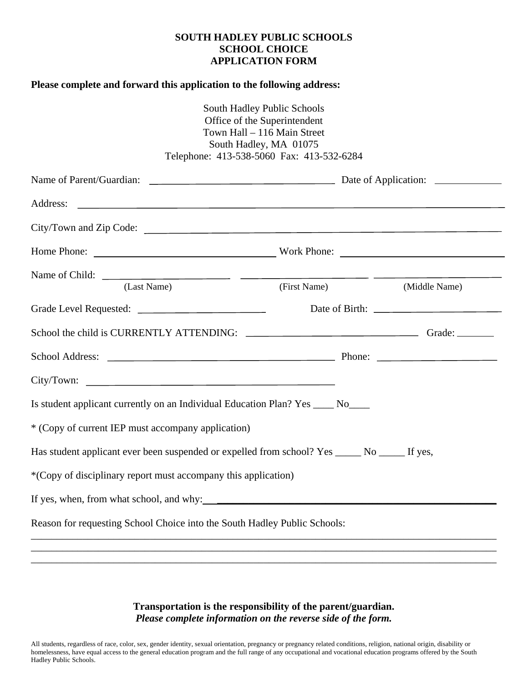## **SOUTH HADLEY PUBLIC SCHOOLS SCHOOL CHOICE APPLICATION FORM**

## **Please complete and forward this application to the following address:**

|                                                                                                 | South Hadley Public Schools<br>Office of the Superintendent<br>Town Hall - 116 Main Street<br>South Hadley, MA 01075<br>Telephone: 413-538-5060 Fax: 413-532-6284                                                              |               |  |  |
|-------------------------------------------------------------------------------------------------|--------------------------------------------------------------------------------------------------------------------------------------------------------------------------------------------------------------------------------|---------------|--|--|
|                                                                                                 |                                                                                                                                                                                                                                |               |  |  |
| Address:                                                                                        | <u> 1990 - Jan Barbara de Santo de Santo de Santo de Santo de Santo de Santo de Santo de Santo de Santo de Santo </u>                                                                                                          |               |  |  |
| City/Town and Zip Code:                                                                         |                                                                                                                                                                                                                                |               |  |  |
|                                                                                                 | Home Phone: North Phone: North Phone: North Phone: North Phone: North Phone: North Phone: North Phone: North Phone: North Phone: North Phone: North Phone: North Phone: North Phone: North Phone: North Phone: North Phone: No |               |  |  |
|                                                                                                 |                                                                                                                                                                                                                                |               |  |  |
| (Last Name)                                                                                     | (First Name)                                                                                                                                                                                                                   | (Middle Name) |  |  |
|                                                                                                 |                                                                                                                                                                                                                                |               |  |  |
|                                                                                                 |                                                                                                                                                                                                                                |               |  |  |
|                                                                                                 |                                                                                                                                                                                                                                |               |  |  |
|                                                                                                 |                                                                                                                                                                                                                                |               |  |  |
| Is student applicant currently on an Individual Education Plan? Yes _____ No____                |                                                                                                                                                                                                                                |               |  |  |
| * (Copy of current IEP must accompany application)                                              |                                                                                                                                                                                                                                |               |  |  |
| Has student applicant ever been suspended or expelled from school? Yes ______ No ______ If yes, |                                                                                                                                                                                                                                |               |  |  |
| *(Copy of disciplinary report must accompany this application)                                  |                                                                                                                                                                                                                                |               |  |  |
|                                                                                                 |                                                                                                                                                                                                                                |               |  |  |
| Reason for requesting School Choice into the South Hadley Public Schools:                       |                                                                                                                                                                                                                                |               |  |  |
|                                                                                                 |                                                                                                                                                                                                                                |               |  |  |

**Transportation is the responsibility of the parent/guardian.**  *Please complete information on the reverse side of the form.* 

\_\_\_\_\_\_\_\_\_\_\_\_\_\_\_\_\_\_\_\_\_\_\_\_\_\_\_\_\_\_\_\_\_\_\_\_\_\_\_\_\_\_\_\_\_\_\_\_\_\_\_\_\_\_\_\_\_\_\_\_\_\_\_\_\_\_\_\_\_\_\_\_\_\_\_\_\_\_\_\_\_\_\_\_\_\_\_\_\_\_

All students, regardless of race, color, sex, gender identity, sexual orientation, pregnancy or pregnancy related conditions, religion, national origin, disability or homelessness, have equal access to the general education program and the full range of any occupational and vocational education programs offered by the South Hadley Public Schools.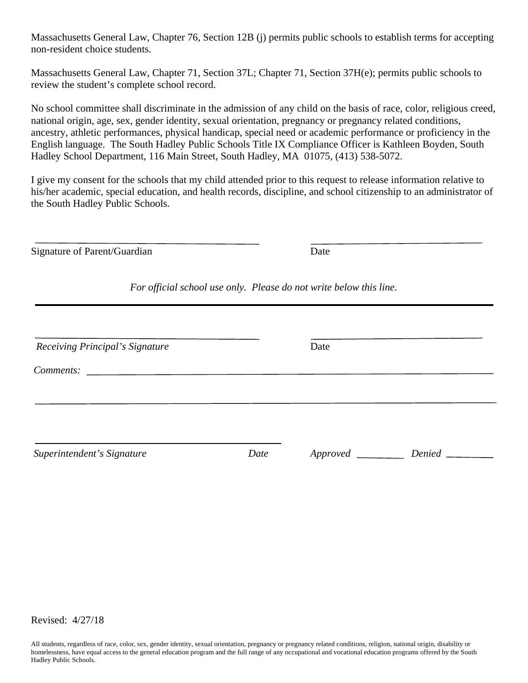Massachusetts General Law, Chapter 76, Section 12B (j) permits public schools to establish terms for accepting non-resident choice students.

Massachusetts General Law, Chapter 71, Section 37L; Chapter 71, Section 37H(e); permits public schools to review the student's complete school record.

No school committee shall discriminate in the admission of any child on the basis of race, color, religious creed, national origin, age, sex, gender identity, sexual orientation, pregnancy or pregnancy related conditions, ancestry, athletic performances, physical handicap, special need or academic performance or proficiency in the English language. The South Hadley Public Schools Title IX Compliance Officer is Kathleen Boyden, South Hadley School Department, 116 Main Street, South Hadley, MA 01075, (413) 538-5072.

I give my consent for the schools that my child attended prior to this request to release information relative to his/her academic, special education, and health records, discipline, and school citizenship to an administrator of the South Hadley Public Schools.

| Signature of Parent/Guardian                                                                                 |      | Date                                                               |        |  |
|--------------------------------------------------------------------------------------------------------------|------|--------------------------------------------------------------------|--------|--|
|                                                                                                              |      | For official school use only. Please do not write below this line. |        |  |
| Receiving Principal's Signature                                                                              |      | Date                                                               |        |  |
| Comments:<br>the contract of the contract of the contract of the contract of the contract of the contract of |      |                                                                    |        |  |
| Superintendent's Signature                                                                                   | Date |                                                                    | Denied |  |

Revised: 4/27/18